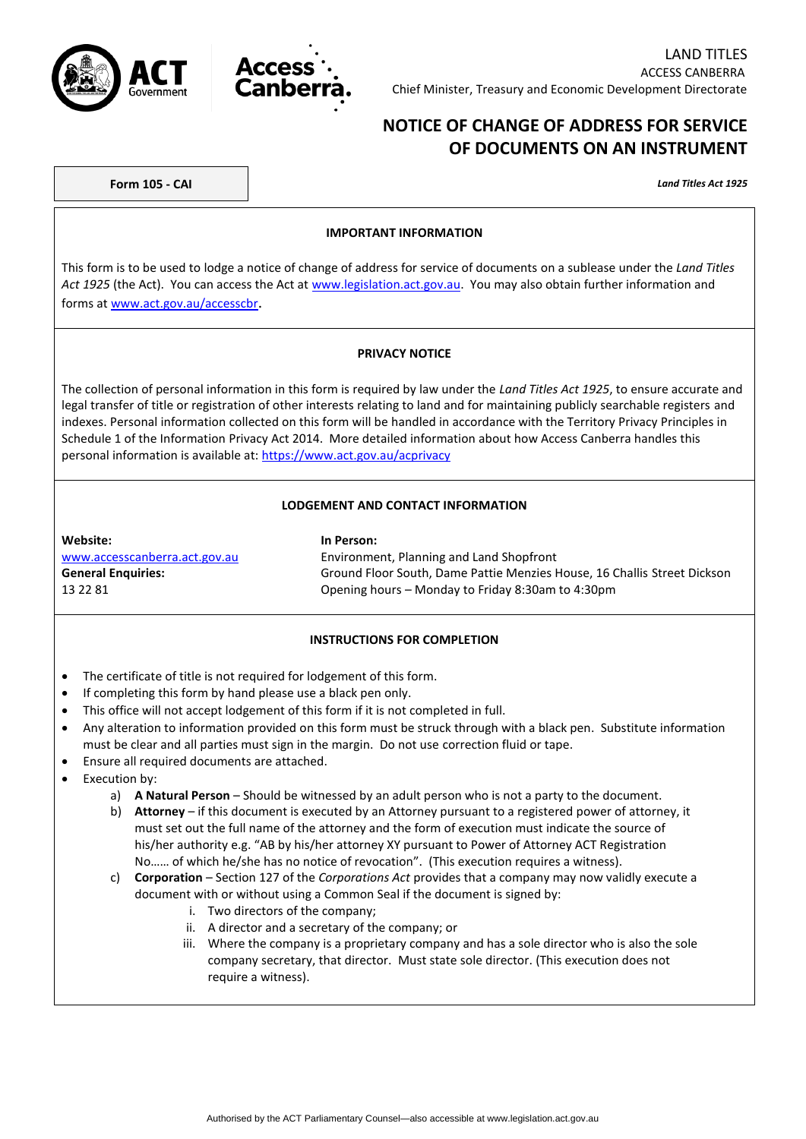



# **NOTICE OF CHANGE OF ADDRESS FOR SERVICE OF DOCUMENTS ON AN INSTRUMENT**

**Form 105 - CAI** *Land Titles Act 1925*

#### **IMPORTANT INFORMATION**

This form is to be used to lodge a notice of change of address for service of documents on a sublease under the *Land Titles Act 1925* (the Act). You can access the Act at [www.legislation.act.gov.au.](http://www.legislation.act.gov.au/) You may also obtain further information and forms at [www.act.gov.au/accesscbr](http://www.act.gov.au/accesscbr).

### **PRIVACY NOTICE**

The collection of personal information in this form is required by law under the *Land Titles Act 1925*, to ensure accurate and legal transfer of title or registration of other interests relating to land and for maintaining publicly searchable registers and indexes. Personal information collected on this form will be handled in accordance with the Territory Privacy Principles in Schedule 1 of the Information Privacy Act 2014. More detailed information about how Access Canberra handles this personal information is available at[: https://www.act.gov.au/acprivacy](https://www.act.gov.au/acprivacy)

### **LODGEMENT AND CONTACT INFORMATION**

#### **Website: In Person:**

[www.accesscanberra.act.gov.au](http://www.accesscanberra.act.gov.au/) Environment, Planning and Land Shopfront **General Enquiries:** Ground Floor South, Dame Pattie Menzies House, 16 Challis Street Dickson 13 22 81 Opening hours – Monday to Friday 8:30am to 4:30pm

### **INSTRUCTIONS FOR COMPLETION**

- The certificate of title is not required for lodgement of this form.
- If completing this form by hand please use a black pen only.
- This office will not accept lodgement of this form if it is not completed in full.
- Any alteration to information provided on this form must be struck through with a black pen. Substitute information must be clear and all parties must sign in the margin. Do not use correction fluid or tape.
- Ensure all required documents are attached.
- Execution by:
	- a) **A Natural Person** Should be witnessed by an adult person who is not a party to the document.
	- b) **Attorney** if this document is executed by an Attorney pursuant to a registered power of attorney, it must set out the full name of the attorney and the form of execution must indicate the source of his/her authority e.g. "AB by his/her attorney XY pursuant to Power of Attorney ACT Registration No…… of which he/she has no notice of revocation". (This execution requires a witness).
	- c) **Corporation** Section 127 of the *Corporations Act* provides that a company may now validly execute a document with or without using a Common Seal if the document is signed by:
		- i. Two directors of the company;
		- ii. A director and a secretary of the company; or
		- iii. Where the company is a proprietary company and has a sole director who is also the sole company secretary, that director. Must state sole director. (This execution does not require a witness).